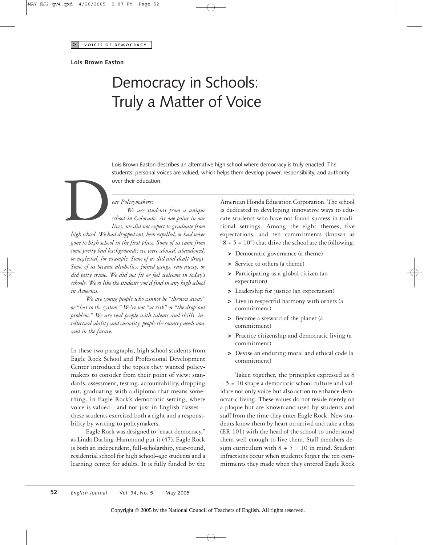### **Lois Brown Easton**

# Democracy in Schools: Truly a Matter of Voice

Lois Brown Easton describes an alternative high school where democracy is truly enacted. The students' personal voices are valued, which helps them develop power, responsibility, and authority

#### *ear Policymakers:*

*We are students from a unique school in Colorado. At one point in our lives, we did not expect to graduate from high school. We had dropped out, been expelled, or had never gone to high school in the first place. Some of us came from some pretty bad backgrounds; we were abused, abandoned, or neglected, for example. Some of us did and dealt drugs. Some of us became alcoholics, joined gangs, ran away, or did petty crime. We did not fit or feel welcome in today's schools. We're like the students you'd find in any high school in America.* students personal volver their education.<br>
over their education.<br> *ear Policymakers:*<br> *We are studen*<br> *school in Colorado.*<br> *lives, we did not expections* 

*We are young people who cannot be "thrown away" or "lost to the system." We're not "at risk" or "the drop-out problem." We are real people with talents and skills, intellectual ability and curiosity, people the country needs now and in the future.*

In these two paragraphs, high school students from Eagle Rock School and Professional Development Center introduced the topics they wanted policymakers to consider from their point of view: standards, assessment, testing, accountability, dropping out, graduating with a diploma that means something. In Eagle Rock's democratic setting, where voice is valued—and not just in English classes these students exercised both a right and a responsibility by writing to policymakers.

Eagle Rock was designed to "enact democracy," as Linda Darling-Hammond put it (47). Eagle Rock is both an independent, full-scholarship, year-round, residential school for high school–age students and a learning center for adults. It is fully funded by the

American Honda Education Corporation. The school is dedicated to developing innovative ways to educate students who have not found success in traditional settings. Among the eight themes, five expectations, and ten commitments (known as " $8 + 5 = 10$ " that drive the school are the following:

- **>** Democratic governance (a theme)
- **>** Service to others (a theme)
- **>** Participating as a global citizen (an expectation)
- **>** Leadership for justice (an expectation)
- **>** Live in respectful harmony with others (a commitment)
- **>** Become a steward of the planet (a commitment)
- **>** Practice citizenship and democratic living (a commitment)
- **>** Devise an enduring moral and ethical code (a commitment)

Taken together, the principles expressed as 8 + 5 = 10 shape a democratic school culture and validate not only voice but also action to enhance democratic living. These values do not reside merely on a plaque but are known and used by students and staff from the time they enter Eagle Rock. New students know them by heart on arrival and take a class (ER 101) with the head of the school to understand them well enough to live them. Staff members design curriculum with  $8 + 5 = 10$  in mind. Student infractions occur when students forget the ten commitments they made when they entered Eagle Rock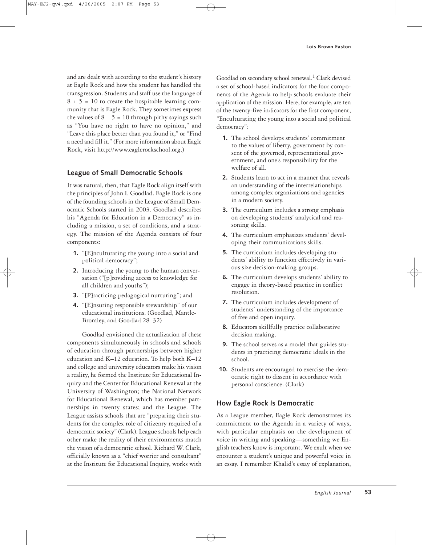and are dealt with according to the student's history at Eagle Rock and how the student has handled the transgression. Students and staff use the language of  $8 + 5 = 10$  to create the hospitable learning community that is Eagle Rock. They sometimes express the values of  $8 + 5 = 10$  through pithy sayings such as "You have no right to have no opinion," and "Leave this place better than you found it," or "Find a need and fill it." (For more information about Eagle Rock, visit http://www.eaglerockschool.org.)

## **League of Small Democratic Schools**

It was natural, then, that Eagle Rock align itself with the principles of John I. Goodlad. Eagle Rock is one of the founding schools in the League of Small Democratic Schools started in 2003. Goodlad describes his "Agenda for Education in a Democracy" as including a mission, a set of conditions, and a strategy. The mission of the Agenda consists of four components:

- **1.** "[E]nculturating the young into a social and political democracy";
- **2.** Introducing the young to the human conversation ("[p]roviding access to knowledge for all children and youths");
- **3.** "[P]racticing pedagogical nurturing"; and
- **4.** "[E]nsuring responsible stewardship" of our educational institutions. (Goodlad, Mantle-Bromley, and Goodlad 28–32)

Goodlad envisioned the actualization of these components simultaneously in schools and schools of education through partnerships between higher education and K–12 education. To help both K–12 and college and university educators make his vision a reality, he formed the Institute for Educational Inquiry and the Center for Educational Renewal at the University of Washington; the National Network for Educational Renewal, which has member partnerships in twenty states; and the League. The League assists schools that are "preparing their students for the complex role of citizenry required of a democratic society" (Clark). League schools help each other make the reality of their environments match the vision of a democratic school. Richard W. Clark, officially known as a "chief worrier and consultant" at the Institute for Educational Inquiry, works with

Goodlad on secondary school renewal.<sup>1</sup> Clark devised a set of school-based indicators for the four components of the Agenda to help schools evaluate their application of the mission. Here, for example, are ten of the twenty-five indicators for the first component, "Enculturating the young into a social and political democracy":

- **1.** The school develops students' commitment to the values of liberty, government by consent of the governed, representational government, and one's responsibility for the welfare of all.
- **2.** Students learn to act in a manner that reveals an understanding of the interrelationships among complex organizations and agencies in a modern society.
- **3.** The curriculum includes a strong emphasis on developing students' analytical and reasoning skills.
- **4.** The curriculum emphasizes students' developing their communications skills.
- **5.** The curriculum includes developing students' ability to function effectively in various size decision-making groups.
- **6.** The curriculum develops students' ability to engage in theory-based practice in conflict resolution.
- **7.** The curriculum includes development of students' understanding of the importance of free and open inquiry.
- **8.** Educators skillfully practice collaborative decision making.
- **9.** The school serves as a model that guides students in practicing democratic ideals in the school.
- **10.** Students are encouraged to exercise the democratic right to dissent in accordance with personal conscience. (Clark)

## **How Eagle Rock Is Democratic**

As a League member, Eagle Rock demonstrates its commitment to the Agenda in a variety of ways, with particular emphasis on the development of voice in writing and speaking—something we English teachers know is important. We exult when we encounter a student's unique and powerful voice in an essay. I remember Khalid's essay of explanation,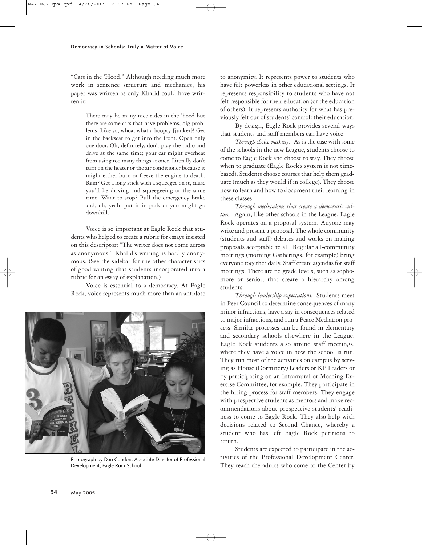"Cars in the 'Hood." Although needing much more work in sentence structure and mechanics, his paper was written as only Khalid could have written it:

> There may be many nice rides in the 'hood but there are some cars that have problems, big problems. Like so, whoa, what a hoopty [junker]! Get in the backseat to get into the front. Open only one door. Oh, definitely, don't play the radio and drive at the same time; your car might overheat from using too many things at once. Literally don't turn on the heater or the air conditioner because it might either burn or freeze the engine to death. Rain? Get a long stick with a squeegee on it, cause you'll be driving and squeegeeing at the same time. Want to stop? Pull the emergency brake and, oh, yeah, put it in park or you might go downhill.

Voice is so important at Eagle Rock that students who helped to create a rubric for essays insisted on this descriptor: "The writer does not come across as anonymous." Khalid's writing is hardly anonymous. (See the sidebar for the other characteristics of good writing that students incorporated into a rubric for an essay of explanation.)

Voice is essential to a democracy. At Eagle Rock, voice represents much more than an antidote



Photograph by Dan Condon, Associate Director of Professional Development, Eagle Rock School.

to anonymity. It represents power to students who have felt powerless in other educational settings. It represents responsibility to students who have not felt responsible for their education (or the education of others). It represents authority for what has previously felt out of students' control: their education.

By design, Eagle Rock provides several ways that students and staff members can have voice.

*Through choice-making.* As is the case with some of the schools in the new League, students choose to come to Eagle Rock and choose to stay. They choose when to graduate (Eagle Rock's system is not timebased). Students choose courses that help them graduate (much as they would if in college). They choose how to learn and how to document their learning in these classes.

*Through mechanisms that create a democratic culture.* Again, like other schools in the League, Eagle Rock operates on a proposal system. Anyone may write and present a proposal. The whole community (students and staff) debates and works on making proposals acceptable to all. Regular all-community meetings (morning Gatherings, for example) bring everyone together daily. Staff create agendas for staff meetings. There are no grade levels, such as sophomore or senior, that create a hierarchy among students.

*Through leadership expectations.* Students meet in Peer Council to determine consequences of many minor infractions, have a say in consequences related to major infractions, and run a Peace Mediation process. Similar processes can be found in elementary and secondary schools elsewhere in the League. Eagle Rock students also attend staff meetings, where they have a voice in how the school is run. They run most of the activities on campus by serving as House (Dormitory) Leaders or KP Leaders or by participating on an Intramural or Morning Exercise Committee, for example. They participate in the hiring process for staff members. They engage with prospective students as mentors and make recommendations about prospective students' readiness to come to Eagle Rock. They also help with decisions related to Second Chance, whereby a student who has left Eagle Rock petitions to return.

Students are expected to participate in the activities of the Professional Development Center. They teach the adults who come to the Center by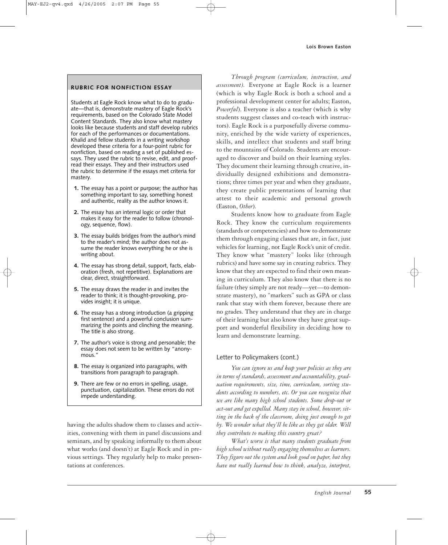## **RUBRIC FOR NONFICTION ESSAY**

Students at Eagle Rock know what to do to graduate—that is, demonstrate mastery of Eagle Rock's requirements, based on the Colorado State Model Content Standards. They also know what mastery looks like because students and staff develop rubrics for each of the performances or documentations. Khalid and fellow students in a writing workshop developed these criteria for a four-point rubric for nonfiction, based on reading a set of published essays. They used the rubric to revise, edit, and proofread their essays. They and their instructors used the rubric to determine if the essays met criteria for mastery.

- **1.** The essay has a point or purpose; the author has something important to say, something honest and authentic, reality as the author knows it.
- **2.** The essay has an internal logic or order that makes it easy for the reader to follow (chronology, sequence, flow).
- **3.** The essay builds bridges from the author's mind to the reader's mind; the author does not assume the reader knows everything he or she is writing about.
- **4.** The essay has strong detail, support, facts, elaboration (fresh, not repetitive). Explanations are clear, direct, straightforward.
- **5.** The essay draws the reader in and invites the reader to think; it is thought-provoking, provides insight; it is unique.
- **6.** The essay has a strong introduction (a gripping first sentence) and a powerful conclusion summarizing the points and clinching the meaning. The title is also strong.
- **7.** The author's voice is strong and personable; the essay does not seem to be written by "anonymous.'
- **8.** The essay is organized into paragraphs, with transitions from paragraph to paragraph.
- **9.** There are few or no errors in spelling, usage, punctuation, capitalization. These errors do not impede understanding.

having the adults shadow them to classes and activities, convening with them in panel discussions and seminars, and by speaking informally to them about what works (and doesn't) at Eagle Rock and in previous settings. They regularly help to make presentations at conferences.

*Through program (curriculum, instruction, and assessment).* Everyone at Eagle Rock is a learner (which is why Eagle Rock is both a school and a professional development center for adults; Easton, *Powerful*). Everyone is also a teacher (which is why students suggest classes and co-teach with instructors). Eagle Rock is a purposefully diverse community, enriched by the wide variety of experiences, skills, and intellect that students and staff bring to the mountains of Colorado. Students are encouraged to discover and build on their learning styles. They document their learning through creative, individually designed exhibitions and demonstrations; three times per year and when they graduate, they create public presentations of learning that attest to their academic and personal growth (Easton, *Other*).

Students know how to graduate from Eagle Rock. They know the curriculum requirements (standards or competencies) and how to demonstrate them through engaging classes that are, in fact, just vehicles for learning, not Eagle Rock's unit of credit. They know what "mastery" looks like (through rubrics) and have some say in creating rubrics. They know that they are expected to find their own meaning in curriculum. They also know that there is no failure (they simply are not ready—yet—to demonstrate mastery), no "markers" such as GPA or class rank that stay with them forever, because there are no grades. They understand that they are in charge of their learning but also know they have great support and wonderful flexibility in deciding how to learn and demonstrate learning.

## Letter to Policymakers (cont.)

*You can ignore us and keep your policies as they are in terms of standards, assessment and accountability, graduation requirements, size, time, curriculum, sorting students according to numbers, etc. Or you can recognize that we are like many high school students. Some drop-out or act-out and get expelled. Many stay in school, however, sitting in the back of the classroom, doing just enough to get by. We wonder what they'll be like as they get older. Will they contribute to making this country great?*

*What's worse is that many students graduate from high school without really engaging themselves as learners. They figure out the system and look good on paper, but they have not really learned how to think, analyze, interpret,*